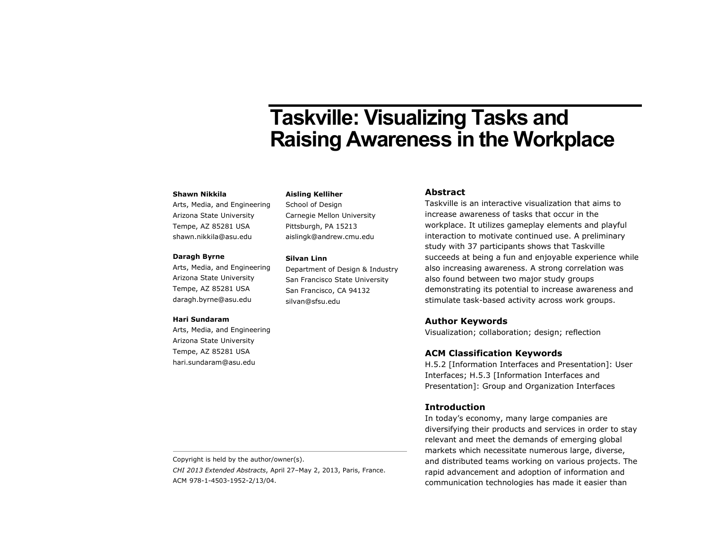# **Taskville: Visualizing Tasks and Raising Awareness in the Workplace**

### **Shawn Nikkila**

Arts, Media, and Engineering Arizona State University Tempe, AZ 85281 USA shawn.nikkila@asu.edu

### **Daragh Byrne**

Arts, Media, and Engineering Arizona State University Tempe, AZ 85281 USA daragh.byrne@asu.edu

### **Hari Sundaram**

Arts, Media, and Engineering Arizona State University Tempe, AZ 85281 USA hari.sundaram@asu.edu

### **Aisling Kelliher**

School of Design Carnegie Mellon University Pittsburgh, PA 15213 aislingk@andrew.cmu.edu

### **Silvan Linn**

Department of Design & Industry San Francisco State University San Francisco, CA 94132 silvan@sfsu.edu

### **Abstract**

Taskville is an interactive visualization that aims to increase awareness of tasks that occur in the workplace. It utilizes gameplay elements and playful interaction to motivate continued use. A preliminary study with 37 participants shows that Taskville succeeds at being a fun and enjoyable experience while also increasing awareness. A strong correlation was also found between two major study groups demonstrating its potential to increase awareness and stimulate task-based activity across work groups.

### **Author Keywords**

Visualization; collaboration; design; reflection

# **ACM Classification Keywords**

H.5.2 [Information Interfaces and Presentation]: User Interfaces; H.5.3 [Information Interfaces and Presentation]: Group and Organization Interfaces

### **Introduction**

In today's economy, many large companies are diversifying their products and services in order to stay relevant and meet the demands of emerging global markets which necessitate numerous large, diverse, and distributed teams working on various projects. The rapid advancement and adoption of information and communication technologies has made it easier than

Copyright is held by the author/owner(s).

*CHI 2013 Extended Abstracts*, April 27–May 2, 2013, Paris, France. ACM 978-1-4503-1952-2/13/04.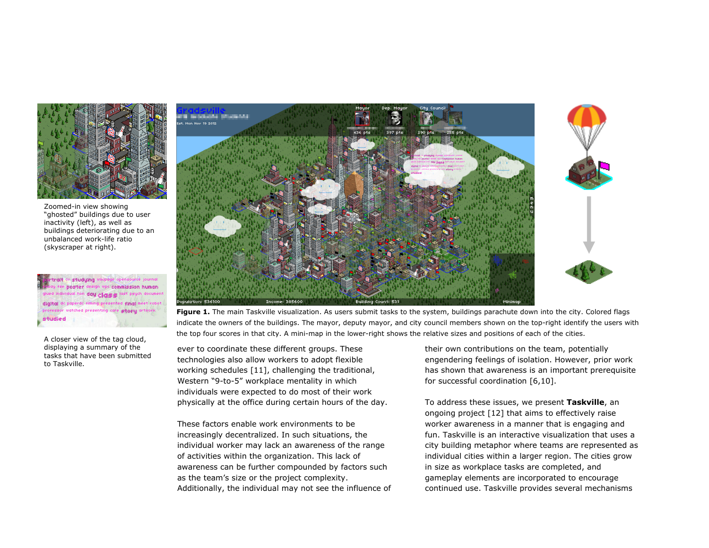

Zoomed-in view showing "ghosted" buildings due to user inactivity (left), as well as buildings deteriorating due to an unbalanced work-life ratio (skyscraper at right).

cu studuing wikips **Posts** se poster design wpc commission human glued individual hon day class last psych document digital de paperde filming presented fing) meet robot professor watched presenting care **story** artwork studied

A closer view of the tag cloud, displaying a summary of the tasks that have been submitted to Taskville.





ever to coordinate these different groups. These technologies also allow workers to adopt flexible working schedules [11], challenging the traditional, Western "9-to-5" workplace mentality in which individuals were expected to do most of their work physically at the office during certain hours of the day.

These factors enable work environments to be increasingly decentralized. In such situations, the individual worker may lack an awareness of the range of activities within the organization. This lack of awareness can be further compounded by factors such as the team's size or the project complexity. Additionally, the individual may not see the influence of their own contributions on the team, potentially engendering feelings of isolation. However, prior work has shown that awareness is an important prerequisite for successful coordination [6,10].

To address these issues, we present **Taskville**, an ongoing project [12] that aims to effectively raise worker awareness in a manner that is engaging and fun. Taskville is an interactive visualization that uses a city building metaphor where teams are represented as individual cities within a larger region. The cities grow in size as workplace tasks are completed, and gameplay elements are incorporated to encourage continued use. Taskville provides several mechanisms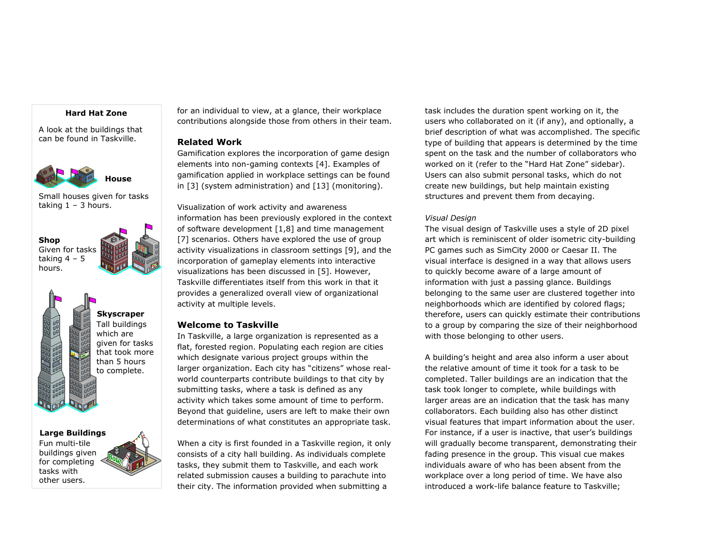A look at the buildings that can be found in Taskville.



Small houses given for tasks taking  $1 - 3$  hours.

**Shop** Given for tasks taking  $4 - 5$ hours.

> **Skyscra per**  Tall buildings which are given for tasks that took more than 5 hours to complete.

**Large Buildin gs**  Fun multi-tile buildings given for completing tasks with other users.

**Hard Hat Zone for an individual to view, at a glance, their workplace** contributions alongside those from others in their team.

# **Related Work**

Gamification explores the incorporation of game design elements into non-gaming contexts [4]. Examples of gamification applied in workplace settings can be found in [3] (system administration) and [13] (monitoring).

Visualization of work activity and awareness information has been previously explored in the context of software development [1,8] and time management [7] scenarios. Others have explored the use of group activity visualizations in classroom settings [9], and the incorporation of gameplay elements into interactive visualizations has been discussed in [5]. However, Taskville differentiates itself from this work in that it provides a generalized overall view of organizational activity at multiple levels.

# **Welcome to Taskville**

In Taskville, a large organization is represented as a flat, forested region. Populating each region are cities which designate various project groups within the larger organization. Each city has "citizens" whose realworld counterparts contribute buildings to that city by submitting tasks, where a task is defined as any activity which takes some amount of time to perform. Beyond that guideline, users are left to make their own determinations of what constitutes an appropriate task.

When a city is first founded in a Taskville region, it only consists of a city hall building. As individuals complete tasks, they submit them to Taskville, and each work related submission causes a building to parachute into their city. The information provided when submitting a

task includes the duration spent working on it, the users who collaborated on it (if any), and optionally, a brief description of what was accomplished. The specific type of building that appears is determined by the time spent on the task and the number of collaborators who worked on it (refer to the "Hard Hat Zone" sidebar). Users can also submit personal tasks, which do not create new buildings, but help maintain existing structures and prevent them from decaying.

# *Visual Design*

The visual design of Taskville uses a style of 2D pixel art which is reminiscent of older isometric city-building PC games such as SimCity 2000 or Caesar II. The visual interface is designed in a way that allows users to quickly become aware of a large amount of information with just a passing glance. Buildings belonging to the same user are clustered together into neighborhoods which are identified by colored flags; therefore, users can quickly estimate their contributions to a group by comparing the size of their neighborhood with those belonging to other users.

A building's height and area also inform a user about the relative amount of time it took for a task to be completed. Taller buildings are an indication that the task took longer to complete, while buildings with larger areas are an indication that the task has many collaborators. Each building also has other distinct visual features that impart information about the user. For instance, if a user is inactive, that user's buildings will gradually become transparent, demonstrating their fading presence in the group. This visual cue makes individuals aware of who has been absent from the workplace over a long period of time. We have also introduced a work-life balance feature to Taskville;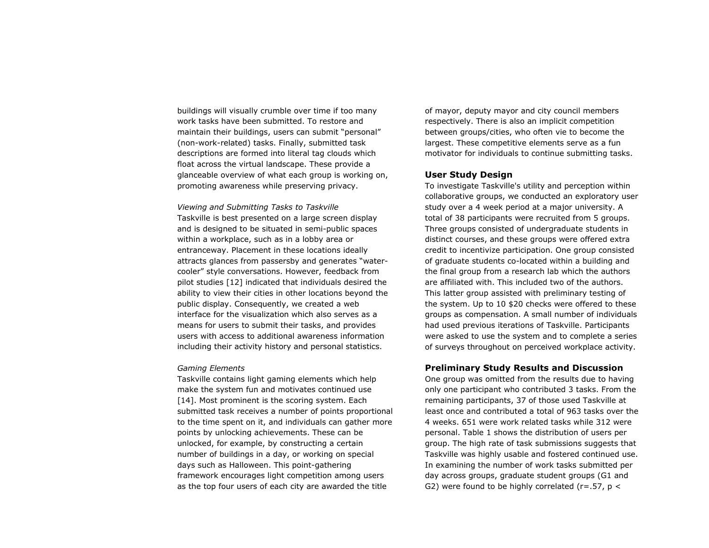buildings will visually crumble over time if too many work tasks have been submitted. To restore and maintain their buildings, users can submit "personal" (non-work-related) tasks. Finally, submitted task descriptions are formed into literal tag clouds which float across the virtual landscape. These provide a glanceable overview of what each group is working on, promoting awareness while preserving privacy.

*Viewing and Submitting Tasks to Taskville*  Taskville is best presented on a large screen display and is designed to be situated in semi-public spaces within a workplace, such as in a lobby area or entranceway. Placement in these locations ideally attracts glances from passersby and generates "watercooler" style conversations. However, feedback from pilot studies [12] indicated that individuals desired the ability to view their cities in other locations beyond the public display. Consequently, we created a web interface for the visualization which also serves as a means for users to submit their tasks, and provides users with access to additional awareness information including their activity history and personal statistics.

### *Gaming Elements*

Taskville contains light gaming elements which help make the system fun and motivates continued use [14]. Most prominent is the scoring system. Each submitted task receives a number of points proportional to the time spent on it, and individuals can gather more points by unlocking achievements. These can be unlocked, for example, by constructing a certain number of buildings in a day, or working on special days such as Halloween. This point-gathering framework encourages light competition among users as the top four users of each city are awarded the title

of mayor, deputy mayor and city council members respectively. There is also an implicit competition between groups/cities, who often vie to become the largest. These competitive elements serve as a fun motivator for individuals to continue submitting tasks.

### **User Study Design**

To investigate Taskville's utility and perception within collaborative groups, we conducted an exploratory user study over a 4 week period at a major university. A total of 38 participants were recruited from 5 groups. Three groups consisted of undergraduate students in distinct courses, and these groups were offered extra credit to incentivize participation. One group consisted of graduate students co-located within a building and the final group from a research lab which the authors are affiliated with. This included two of the authors. This latter group assisted with preliminary testing of the system. Up to 10 \$20 checks were offered to these groups as compensation. A small number of individuals had used previous iterations of Taskville. Participants were asked to use the system and to complete a series of surveys throughout on perceived workplace activity.

### **Preliminary Study Results and Discussion**

One group was omitted from the results due to having only one participant who contributed 3 tasks. From the remaining participants, 37 of those used Taskville at least once and contributed a total of 963 tasks over the 4 weeks. 651 were work related tasks while 312 were personal. Table 1 shows the distribution of users per group. The high rate of task submissions suggests that Taskville was highly usable and fostered continued use. In examining the number of work tasks submitted per day across groups, graduate student groups (G1 and G2) were found to be highly correlated ( $r = .57$ ,  $p <$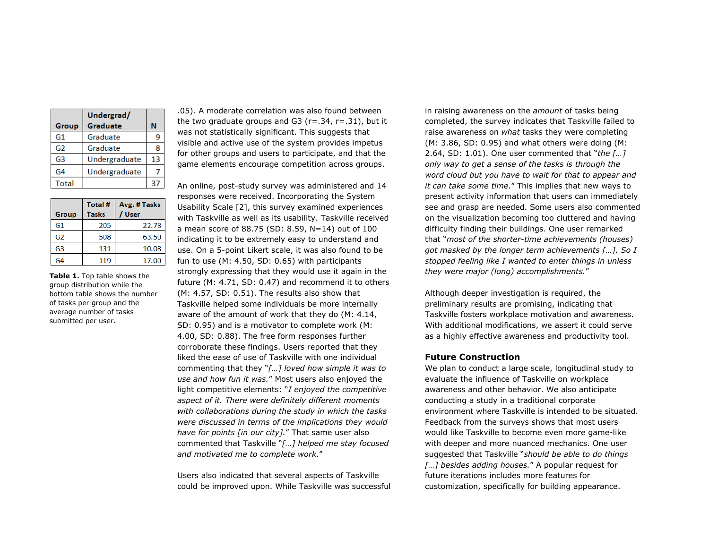|       | Undergrad/    |    |
|-------|---------------|----|
| Group | Graduate      | N  |
| G1    | Graduate      | q  |
| G2    | Graduate      | 8  |
| G3    | Undergraduate | 13 |
| G4    | Undergraduate |    |
| Total |               |    |

| Group | Total #<br>Tasks | Avg. # Tasks<br><b>User</b> |
|-------|------------------|-----------------------------|
| G1    | 205              | 22.78                       |
| G2    | 508              | 63.50                       |
| G3    | 131              | 10.08                       |
| G4    | 119              | 17.00                       |

**Table 1.** Top table shows the group distribution while the bottom table shows the number of tasks per group and the average number of tasks submitted per user.

.05). A moderate correlation was also found between the two graduate groups and G3 ( $r=.34$ ,  $r=.31$ ), but it was not statistically significant. This suggests that visible and active use of the system provides impetus for other groups and users to participate, and that the game elements encourage competition across groups.

An online, post-study survey was administered and 14 responses were received. Incorporating the System Usability Scale [2], this survey examined experiences with Taskville as well as its usability. Taskville received a mean score of 88.75 (SD: 8.59, N=14) out of 100 indicating it to be extremely easy to understand and use. On a 5-point Likert scale, it was also found to be fun to use (M: 4.50, SD: 0.65) with participants strongly expressing that they would use it again in the future (M: 4.71, SD: 0.47) and recommend it to others (M: 4.57, SD: 0.51). The results also show that Taskville helped some individuals be more internally aware of the amount of work that they do (M: 4.14, SD: 0.95) and is a motivator to complete work (M: 4.00, SD: 0.88). The free form responses further corroborate these findings. Users reported that they liked the ease of use of Taskville with one individual commenting that they "*[…] loved how simple it was to use and how fun it was.*" Most users also enjoyed the light competitive elements: "*I enjoyed the competitive aspect of it. There were definitely different moments with collaborations during the study in which the tasks were discussed in terms of the implications they would have for points [in our city].*" That same user also commented that Taskville "*[…] helped me stay focused and motivated me to complete work*."

Users also indicated that several aspects of Taskville could be improved upon. While Taskville was successful in raising awareness on the *amount* of tasks being completed, the survey indicates that Taskville failed to raise awareness on *what* tasks they were completing (M: 3.86, SD: 0.95) and what others were doing (M: 2.64, SD: 1.01). One user commented that "*the […] only way to get a sense of the tasks is through the word cloud but you have to wait for that to appear and it can take some time*." This implies that new ways to present activity information that users can immediately see and grasp are needed. Some users also commented on the visualization becoming too cluttered and having difficulty finding their buildings. One user remarked that "*most of the shorter-time achievements (houses) got masked by the longer term achievements […]. So I stopped feeling like I wanted to enter things in unless they were major (long) accomplishments.*"

Although deeper investigation is required, the preliminary results are promising, indicating that Taskville fosters workplace motivation and awareness. With additional modifications, we assert it could serve as a highly effective awareness and productivity tool.

# **Future Construction**

We plan to conduct a large scale, longitudinal study to evaluate the influence of Taskville on workplace awareness and other behavior. We also anticipate conducting a study in a traditional corporate environment where Taskville is intended to be situated. Feedback from the surveys shows that most users would like Taskville to become even more game-like with deeper and more nuanced mechanics. One user suggested that Taskville "*should be able to do things […] besides adding houses.*" A popular request for future iterations includes more features for customization, specifically for building appearance.